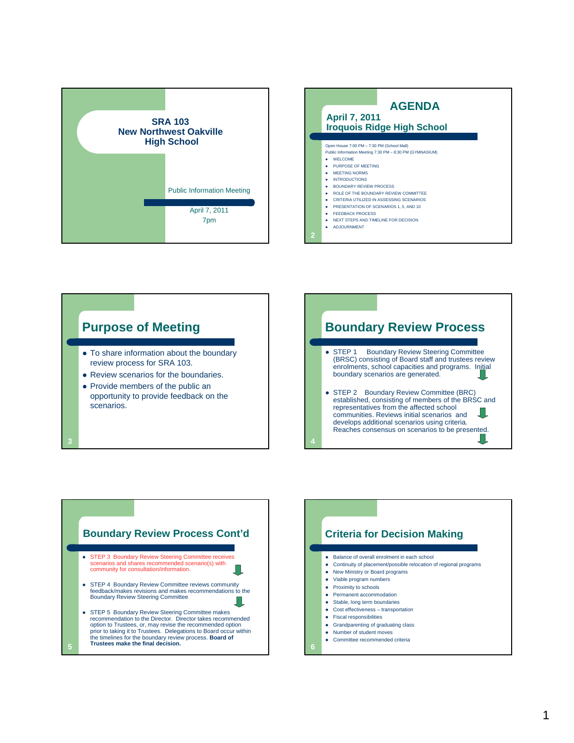







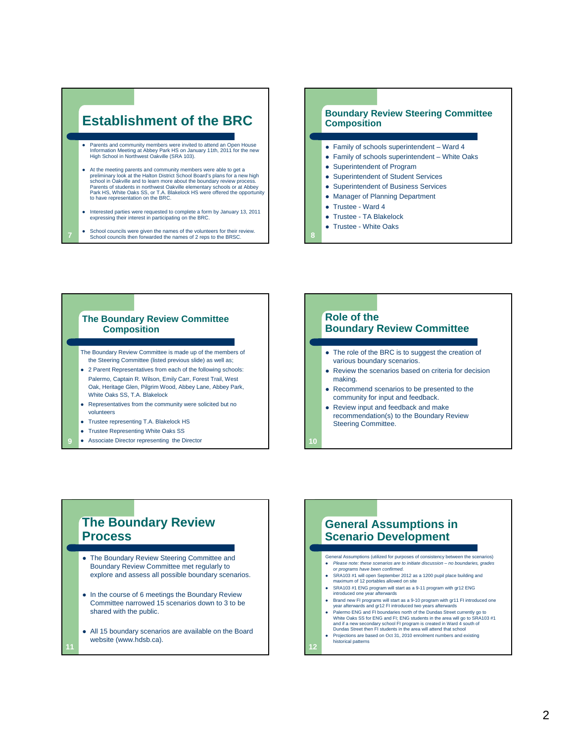# **Establishment of the BRC**

- Parents and community members were invited to attend an Open House Information Meeting at Abbey Park HS on January 11th, 2011 for the new High School in Northwest Oakville (SRA 103).
- At the meeting parents and community members were able to get a preliminary look at the Halton District School Board's plans for a new high school in Oakville and to learn more about the boundary review process. Parents of students in northwest Oakville elementary schools or at Abbey Park HS, White Oaks SS, or T.A. Blakelock HS were offered the opportunity to have representation on the BRC.
- Interested parties were requested to complete a form by January 13, 2011 expressing their interest in participating on the BRC.
- School councils were given the names of the volunteers for their review. School councils then forwarded the names of 2 reps to the BRSC. **8**

**7**

**11**

#### **Boundary Review Steering Committee Composition**

- Family of schools superintendent Ward 4
- Family of schools superintendent White Oaks
- Superintendent of Program
- Superintendent of Student Services
- Superintendent of Business Services
- Manager of Planning Department
- Trustee Ward 4
- Trustee TA Blakelock
- Trustee White Oaks

#### **The Boundary Review Committee Composition**

The Boundary Review Committee is made up of the members of the Steering Committee (listed previous slide) as well as;

- 2 Parent Representatives from each of the following schools: Palermo, Captain R. Wilson, Emily Carr, Forest Trail, West Oak, Heritage Glen, Pilgrim Wood, Abbey Lane, Abbey Park,
- White Oaks SS, T.A. Blakelock • Representatives from the community were solicited but no
- volunteers
- Trustee representing T.A. Blakelock HS
- Trustee Representing White Oaks SS
- **•** Associate Director representing the Director

### **Role of the Boundary Review Committee**

- The role of the BRC is to suggest the creation of various boundary scenarios.
- Review the scenarios based on criteria for decision making.
- Recommend scenarios to be presented to the community for input and feedback.
- Review input and feedback and make recommendation(s) to the Boundary Review Steering Committee.

**The Boundary Review Process**

- The Boundary Review Steering Committee and Boundary Review Committee met regularly to explore and assess all possible boundary scenarios.
- In the course of 6 meetings the Boundary Review Committee narrowed 15 scenarios down to 3 to be shared with the public.
- All 15 boundary scenarios are available on the Board website (www.hdsb.ca).

### **General Assumptions in Scenario Development**

- General Assumptions (utilized for purposes of consistency between the scenarios) *Please note: these scenarios are to initiate discussion – no boundaries, grades or programs have been confirmed.*
- SRA103 #1 will open September 2012 as a 1200 pupil place building and maximum of 12 portables allowed on site
- SRA103 #1 ENG program will start as a 9-11 program with gr12 ENG
- introduced one year afterwards • Brand new FI programs will start as a 9-10 program with gr11 FI introduced one
- year afterwards and gr12 FI introduced two years afterwards Palermo ENG and FI boundaries north of the Dundas Street currently go to
- White Oaks SS for ENG and FI; ENG students in the area will go to SRA103 #1<br>and if a new secondary school FI program is created in Ward 4 south of<br>Dundas Street then FI students in the area will attend that school
- Projections are based on Oct 31, 2010 enrolment numbers and existing historical patterns

**12**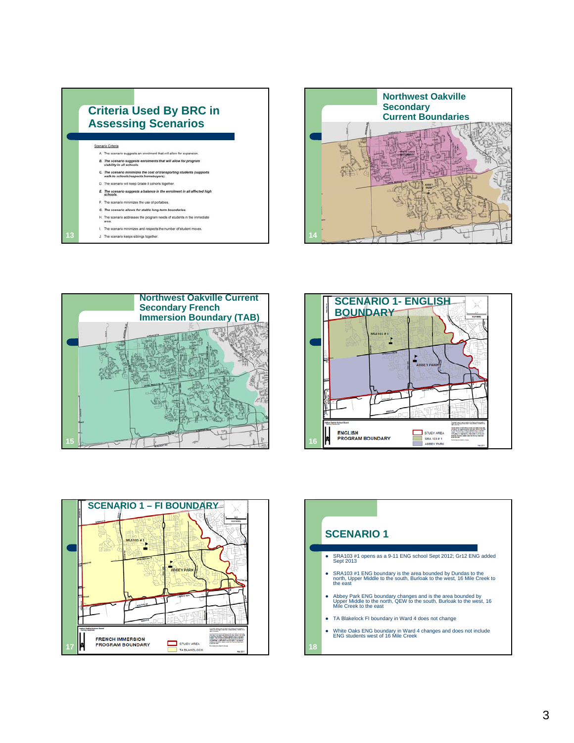









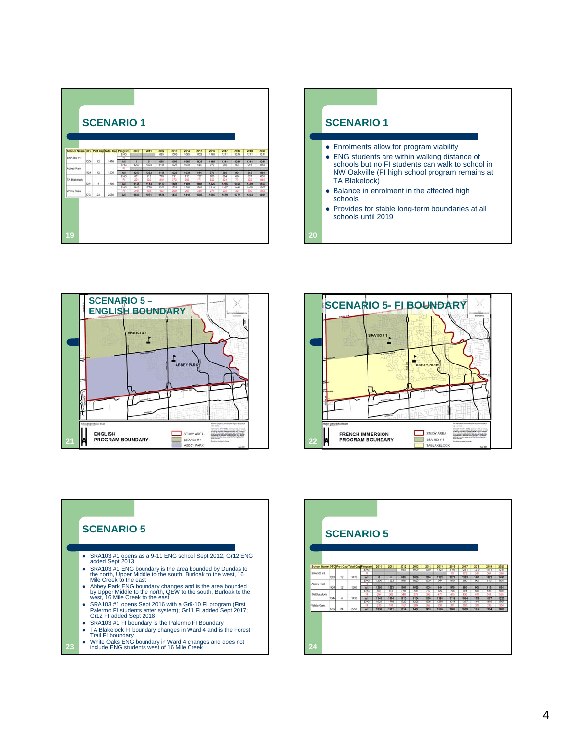|                                                         |      |       |      | <b>SCENARIO 1</b>          |                              |                     |                     |                              |                     |                        |                     |                     |                             |                     |                                    |
|---------------------------------------------------------|------|-------|------|----------------------------|------------------------------|---------------------|---------------------|------------------------------|---------------------|------------------------|---------------------|---------------------|-----------------------------|---------------------|------------------------------------|
| School Name OTG Port Cap Total Cap Program<br>SRA103 #1 |      |       |      | ENG<br>m                   | 2010                         | 2011                | 2012<br>685         | 2013<br>1006                 | 2014<br>3005        | 2015<br>1128           | 2016<br>1168        | 2017<br>1211        | 2018<br>1219                | 2019<br>1211        | 2020<br>1211                       |
| Abbey Park                                              | 1200 | 12    | 1476 | All<br>ENG<br>E)           | $\overline{\bullet}$<br>1220 | ø<br>1323           | 685<br>11DT         | 1006<br>1525                 | 5065<br>1030        | 1128<br>$\overline{u}$ | 1168<br>975         | 1211<br>985         | 1219<br>$\overline{\infty}$ | 1211<br>915         | 1211<br>w                          |
| TA Blakelock                                            | 924  | 12    | 1200 | A1<br><b>TNG</b><br>π      | 1250<br>851<br>294           | 1323<br>812<br>555  | 1101<br>770<br>540  | 1025<br>751<br>$rac{1}{272}$ | 1039<br>715<br>356  | 944<br>727<br>471      | 970<br>768<br>656   | 980<br>664<br>not   | 904<br>656<br>952           | 955<br>837<br>mit   | 864<br><b>BZB</b><br><b>System</b> |
| <b>White Oaks</b>                                       | 1344 | $\pm$ | 1436 | A <sup>2</sup><br>Ey3<br>背 | 1145<br>1623<br>246          | 1114<br>1778<br>550 | 1110<br>1322<br>993 | 1104<br>123<br>506           | 1109<br>1208<br>202 | 1198<br>1268<br>234    | 1225<br>1314<br>221 | 1265<br>1367<br>597 | 5400<br>1448<br>334         | 5439<br>1465<br>355 | 1503<br>1507<br>564                |
|                                                         | 1704 | 24    | 2256 | 44                         | 1833                         | 1971                | 1514                | 1437                         | 5410                | 1506                   | 1585                | 1679                | 1777                        | 1804                | 1861                               |
|                                                         |      |       |      |                            |                              |                     |                     |                              |                     |                        |                     |                     |                             |                     |                                    |
| 19                                                      |      |       |      |                            |                              |                     |                     |                              |                     |                        |                     |                     |                             |                     |                                    |









TA Blakelock FI boundary changes in Ward 4 and is the Forest Trail FI boundary White Oaks ENG boundary in Ward 4 changes and does not include ENG students west of 16 Mile Creek **24**

**23**

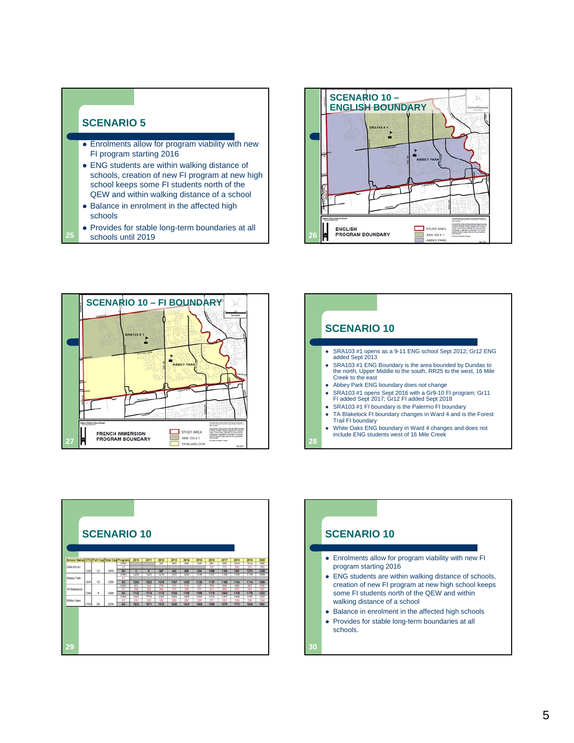#### **SCENARIO 5**

**25**

- **Enrolments allow for program viability with new** FI program starting 2016
- ENG students are within walking distance of schools, creation of new FI program at new high school keeps some FI students north of the QEW and within walking distance of a school
- Balance in enrolment in the affected high schools
- Provides for stable long-term boundaries at all schools until 2019